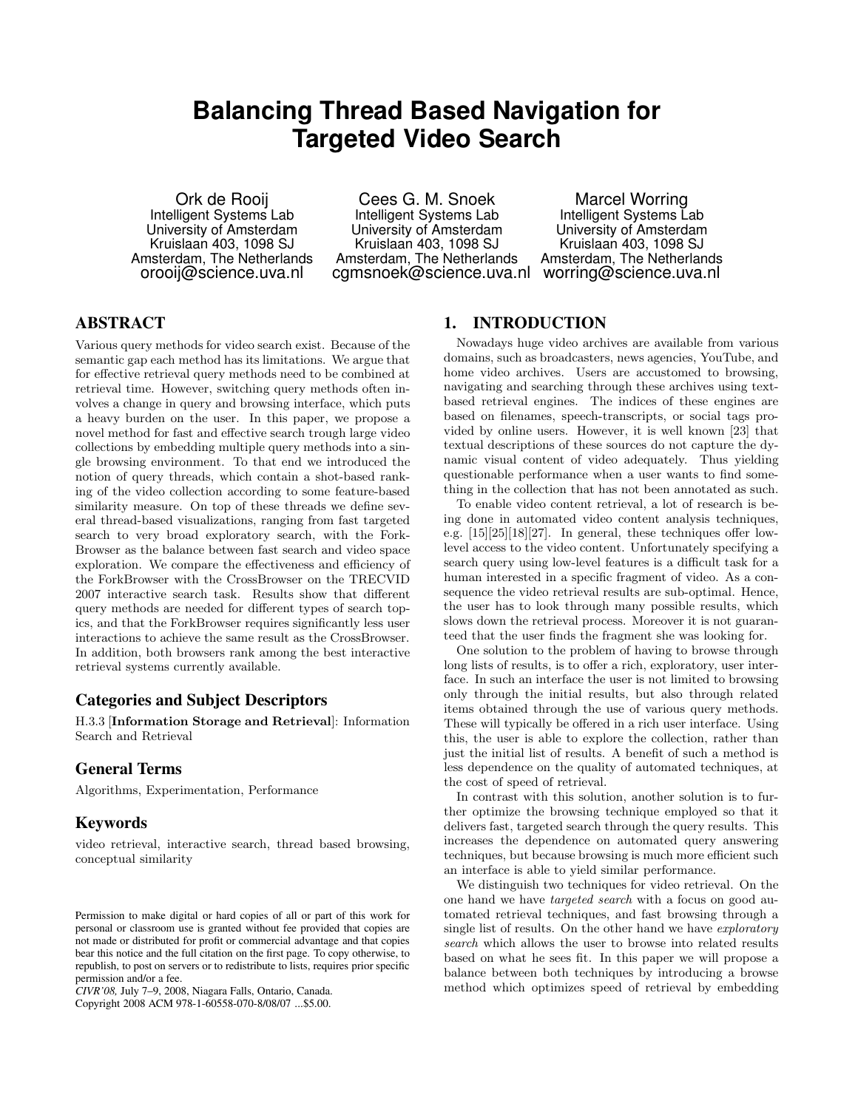# **Balancing Thread Based Navigation for Targeted Video Search**

Ork de Rooij Intelligent Systems Lab University of Amsterdam Kruislaan 403, 1098 SJ Amsterdam, The Netherlands orooij@science.uva.nl

Cees G. M. Snoek Intelligent Systems Lab University of Amsterdam Kruislaan 403, 1098 SJ Amsterdam, The Netherlands cgmsnoek@science.uva.nl worring@science.uva.nl

Marcel Worring Intelligent Systems Lab University of Amsterdam Kruislaan 403, 1098 SJ Amsterdam, The Netherlands

# **ABSTRACT**

Various query methods for video search exist. Because of the semantic gap each method has its limitations. We argue that for effective retrieval query methods need to be combined at retrieval time. However, switching query methods often involves a change in query and browsing interface, which puts a heavy burden on the user. In this paper, we propose a novel method for fast and effective search trough large video collections by embedding multiple query methods into a single browsing environment. To that end we introduced the notion of query threads, which contain a shot-based ranking of the video collection according to some feature-based similarity measure. On top of these threads we define several thread-based visualizations, ranging from fast targeted search to very broad exploratory search, with the Fork-Browser as the balance between fast search and video space exploration. We compare the effectiveness and efficiency of the ForkBrowser with the CrossBrowser on the TRECVID 2007 interactive search task. Results show that different query methods are needed for different types of search topics, and that the ForkBrowser requires significantly less user interactions to achieve the same result as the CrossBrowser. In addition, both browsers rank among the best interactive retrieval systems currently available.

# **Categories and Subject Descriptors**

H.3.3 [Information Storage and Retrieval]: Information Search and Retrieval

# **General Terms**

Algorithms, Experimentation, Performance

#### **Keywords**

video retrieval, interactive search, thread based browsing, conceptual similarity

Copyright 2008 ACM 978-1-60558-070-8/08/07 ...\$5.00.

# **1. INTRODUCTION**

Nowadays huge video archives are available from various domains, such as broadcasters, news agencies, YouTube, and home video archives. Users are accustomed to browsing, navigating and searching through these archives using textbased retrieval engines. The indices of these engines are based on filenames, speech-transcripts, or social tags provided by online users. However, it is well known [23] that textual descriptions of these sources do not capture the dynamic visual content of video adequately. Thus yielding questionable performance when a user wants to find something in the collection that has not been annotated as such.

To enable video content retrieval, a lot of research is being done in automated video content analysis techniques, e.g. [15][25][18][27]. In general, these techniques offer lowlevel access to the video content. Unfortunately specifying a search query using low-level features is a difficult task for a human interested in a specific fragment of video. As a consequence the video retrieval results are sub-optimal. Hence, the user has to look through many possible results, which slows down the retrieval process. Moreover it is not guaranteed that the user finds the fragment she was looking for.

One solution to the problem of having to browse through long lists of results, is to offer a rich, exploratory, user interface. In such an interface the user is not limited to browsing only through the initial results, but also through related items obtained through the use of various query methods. These will typically be offered in a rich user interface. Using this, the user is able to explore the collection, rather than just the initial list of results. A benefit of such a method is less dependence on the quality of automated techniques, at the cost of speed of retrieval.

In contrast with this solution, another solution is to further optimize the browsing technique employed so that it delivers fast, targeted search through the query results. This increases the dependence on automated query answering techniques, but because browsing is much more efficient such an interface is able to yield similar performance.

We distinguish two techniques for video retrieval. On the one hand we have targeted search with a focus on good automated retrieval techniques, and fast browsing through a single list of results. On the other hand we have exploratory search which allows the user to browse into related results based on what he sees fit. In this paper we will propose a balance between both techniques by introducing a browse method which optimizes speed of retrieval by embedding

Permission to make digital or hard copies of all or part of this work for personal or classroom use is granted without fee provided that copies are not made or distributed for profit or commercial advantage and that copies bear this notice and the full citation on the first page. To copy otherwise, to republish, to post on servers or to redistribute to lists, requires prior specific permission and/or a fee.

*CIVR'08,* July 7–9, 2008, Niagara Falls, Ontario, Canada.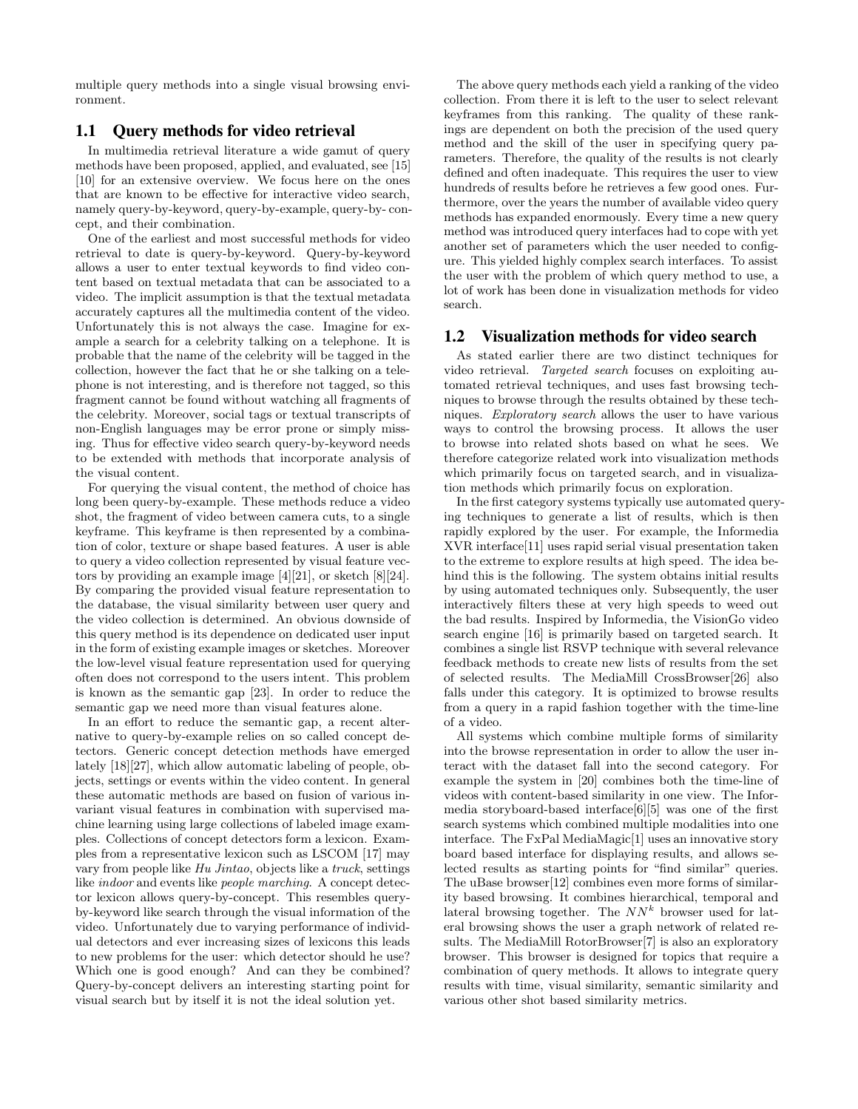multiple query methods into a single visual browsing environment.

#### **1.1 Query methods for video retrieval**

In multimedia retrieval literature a wide gamut of query methods have been proposed, applied, and evaluated, see [15] [10] for an extensive overview. We focus here on the ones that are known to be effective for interactive video search, namely query-by-keyword, query-by-example, query-by- concept, and their combination.

One of the earliest and most successful methods for video retrieval to date is query-by-keyword. Query-by-keyword allows a user to enter textual keywords to find video content based on textual metadata that can be associated to a video. The implicit assumption is that the textual metadata accurately captures all the multimedia content of the video. Unfortunately this is not always the case. Imagine for example a search for a celebrity talking on a telephone. It is probable that the name of the celebrity will be tagged in the collection, however the fact that he or she talking on a telephone is not interesting, and is therefore not tagged, so this fragment cannot be found without watching all fragments of the celebrity. Moreover, social tags or textual transcripts of non-English languages may be error prone or simply missing. Thus for effective video search query-by-keyword needs to be extended with methods that incorporate analysis of the visual content.

For querying the visual content, the method of choice has long been query-by-example. These methods reduce a video shot, the fragment of video between camera cuts, to a single keyframe. This keyframe is then represented by a combination of color, texture or shape based features. A user is able to query a video collection represented by visual feature vectors by providing an example image [4][21], or sketch [8][24]. By comparing the provided visual feature representation to the database, the visual similarity between user query and the video collection is determined. An obvious downside of this query method is its dependence on dedicated user input in the form of existing example images or sketches. Moreover the low-level visual feature representation used for querying often does not correspond to the users intent. This problem is known as the semantic gap [23]. In order to reduce the semantic gap we need more than visual features alone.

In an effort to reduce the semantic gap, a recent alternative to query-by-example relies on so called concept detectors. Generic concept detection methods have emerged lately [18][27], which allow automatic labeling of people, objects, settings or events within the video content. In general these automatic methods are based on fusion of various invariant visual features in combination with supervised machine learning using large collections of labeled image examples. Collections of concept detectors form a lexicon. Examples from a representative lexicon such as LSCOM [17] may vary from people like Hu Jintao, objects like a truck, settings like *indoor* and events like *people marching*. A concept detector lexicon allows query-by-concept. This resembles queryby-keyword like search through the visual information of the video. Unfortunately due to varying performance of individual detectors and ever increasing sizes of lexicons this leads to new problems for the user: which detector should he use? Which one is good enough? And can they be combined? Query-by-concept delivers an interesting starting point for visual search but by itself it is not the ideal solution yet.

The above query methods each yield a ranking of the video collection. From there it is left to the user to select relevant keyframes from this ranking. The quality of these rankings are dependent on both the precision of the used query method and the skill of the user in specifying query parameters. Therefore, the quality of the results is not clearly defined and often inadequate. This requires the user to view hundreds of results before he retrieves a few good ones. Furthermore, over the years the number of available video query methods has expanded enormously. Every time a new query method was introduced query interfaces had to cope with yet another set of parameters which the user needed to configure. This yielded highly complex search interfaces. To assist the user with the problem of which query method to use, a lot of work has been done in visualization methods for video search.

#### **1.2 Visualization methods for video search**

As stated earlier there are two distinct techniques for video retrieval. Targeted search focuses on exploiting automated retrieval techniques, and uses fast browsing techniques to browse through the results obtained by these techniques. Exploratory search allows the user to have various ways to control the browsing process. It allows the user to browse into related shots based on what he sees. We therefore categorize related work into visualization methods which primarily focus on targeted search, and in visualization methods which primarily focus on exploration.

In the first category systems typically use automated querying techniques to generate a list of results, which is then rapidly explored by the user. For example, the Informedia XVR interface[11] uses rapid serial visual presentation taken to the extreme to explore results at high speed. The idea behind this is the following. The system obtains initial results by using automated techniques only. Subsequently, the user interactively filters these at very high speeds to weed out the bad results. Inspired by Informedia, the VisionGo video search engine [16] is primarily based on targeted search. It combines a single list RSVP technique with several relevance feedback methods to create new lists of results from the set of selected results. The MediaMill CrossBrowser[26] also falls under this category. It is optimized to browse results from a query in a rapid fashion together with the time-line of a video.

All systems which combine multiple forms of similarity into the browse representation in order to allow the user interact with the dataset fall into the second category. For example the system in [20] combines both the time-line of videos with content-based similarity in one view. The Informedia storyboard-based interface[6][5] was one of the first search systems which combined multiple modalities into one interface. The FxPal MediaMagic[1] uses an innovative story board based interface for displaying results, and allows selected results as starting points for "find similar" queries. The uBase browser[12] combines even more forms of similarity based browsing. It combines hierarchical, temporal and lateral browsing together. The  $NN<sup>k</sup>$  browser used for lateral browsing shows the user a graph network of related results. The MediaMill RotorBrowser[7] is also an exploratory browser. This browser is designed for topics that require a combination of query methods. It allows to integrate query results with time, visual similarity, semantic similarity and various other shot based similarity metrics.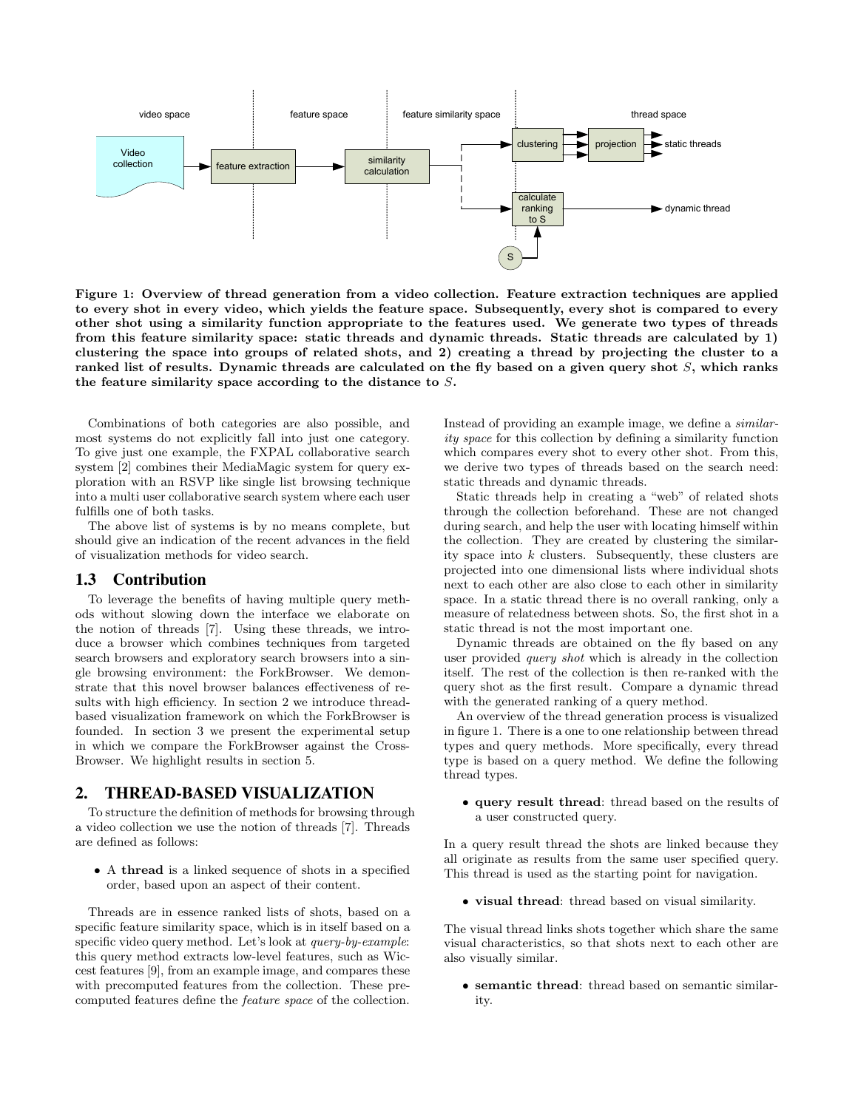

Figure 1: Overview of thread generation from a video collection. Feature extraction techniques are applied to every shot in every video, which yields the feature space. Subsequently, every shot is compared to every other shot using a similarity function appropriate to the features used. We generate two types of threads from this feature similarity space: static threads and dynamic threads. Static threads are calculated by 1) clustering the space into groups of related shots, and 2) creating a thread by projecting the cluster to a ranked list of results. Dynamic threads are calculated on the fly based on a given query shot S, which ranks the feature similarity space according to the distance to S.

Combinations of both categories are also possible, and most systems do not explicitly fall into just one category. To give just one example, the FXPAL collaborative search system [2] combines their MediaMagic system for query exploration with an RSVP like single list browsing technique into a multi user collaborative search system where each user fulfills one of both tasks.

The above list of systems is by no means complete, but should give an indication of the recent advances in the field of visualization methods for video search.

#### **1.3 Contribution**

To leverage the benefits of having multiple query methods without slowing down the interface we elaborate on the notion of threads [7]. Using these threads, we introduce a browser which combines techniques from targeted search browsers and exploratory search browsers into a single browsing environment: the ForkBrowser. We demonstrate that this novel browser balances effectiveness of results with high efficiency. In section 2 we introduce threadbased visualization framework on which the ForkBrowser is founded. In section 3 we present the experimental setup in which we compare the ForkBrowser against the Cross-Browser. We highlight results in section 5.

#### **2. THREAD-BASED VISUALIZATION**

To structure the definition of methods for browsing through a video collection we use the notion of threads [7]. Threads are defined as follows:

• A thread is a linked sequence of shots in a specified order, based upon an aspect of their content.

Threads are in essence ranked lists of shots, based on a specific feature similarity space, which is in itself based on a specific video query method. Let's look at *query-by-example*: this query method extracts low-level features, such as Wiccest features [9], from an example image, and compares these with precomputed features from the collection. These precomputed features define the feature space of the collection.

Instead of providing an example image, we define a similarity space for this collection by defining a similarity function which compares every shot to every other shot. From this, we derive two types of threads based on the search need: static threads and dynamic threads.

Static threads help in creating a "web" of related shots through the collection beforehand. These are not changed during search, and help the user with locating himself within the collection. They are created by clustering the similarity space into  $k$  clusters. Subsequently, these clusters are projected into one dimensional lists where individual shots next to each other are also close to each other in similarity space. In a static thread there is no overall ranking, only a measure of relatedness between shots. So, the first shot in a static thread is not the most important one.

Dynamic threads are obtained on the fly based on any user provided query shot which is already in the collection itself. The rest of the collection is then re-ranked with the query shot as the first result. Compare a dynamic thread with the generated ranking of a query method.

An overview of the thread generation process is visualized in figure 1. There is a one to one relationship between thread types and query methods. More specifically, every thread type is based on a query method. We define the following thread types.

• query result thread: thread based on the results of a user constructed query.

In a query result thread the shots are linked because they all originate as results from the same user specified query. This thread is used as the starting point for navigation.

• visual thread: thread based on visual similarity.

The visual thread links shots together which share the same visual characteristics, so that shots next to each other are also visually similar.

• semantic thread: thread based on semantic similarity.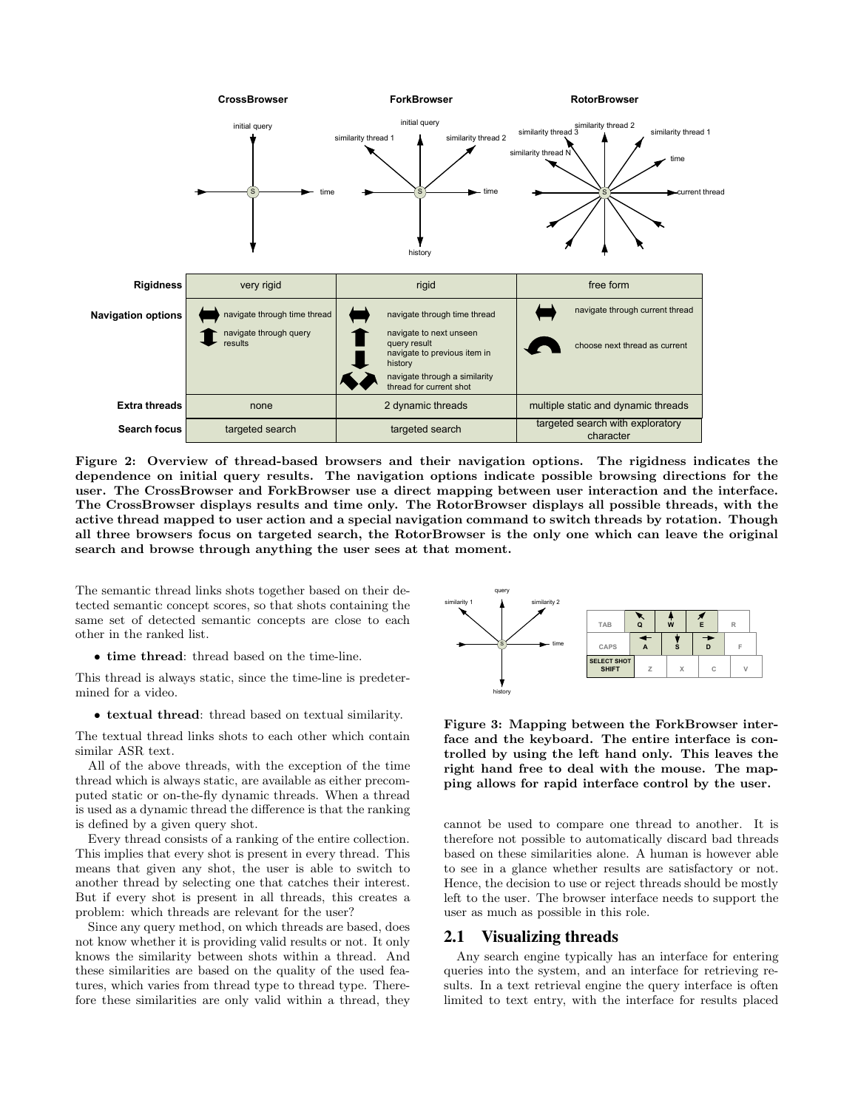

Figure 2: Overview of thread-based browsers and their navigation options. The rigidness indicates the dependence on initial query results. The navigation options indicate possible browsing directions for the user. The CrossBrowser and ForkBrowser use a direct mapping between user interaction and the interface. The CrossBrowser displays results and time only. The RotorBrowser displays all possible threads, with the active thread mapped to user action and a special navigation command to switch threads by rotation. Though all three browsers focus on targeted search, the RotorBrowser is the only one which can leave the original search and browse through anything the user sees at that moment.

The semantic thread links shots together based on their detected semantic concept scores, so that shots containing the same set of detected semantic concepts are close to each other in the ranked list.

• time thread: thread based on the time-line.

This thread is always static, since the time-line is predetermined for a video.

• textual thread: thread based on textual similarity.

The textual thread links shots to each other which contain similar ASR text.

All of the above threads, with the exception of the time thread which is always static, are available as either precomputed static or on-the-fly dynamic threads. When a thread is used as a dynamic thread the difference is that the ranking is defined by a given query shot.

Every thread consists of a ranking of the entire collection. This implies that every shot is present in every thread. This means that given any shot, the user is able to switch to another thread by selecting one that catches their interest. But if every shot is present in all threads, this creates a problem: which threads are relevant for the user?

Since any query method, on which threads are based, does not know whether it is providing valid results or not. It only knows the similarity between shots within a thread. And these similarities are based on the quality of the used features, which varies from thread type to thread type. Therefore these similarities are only valid within a thread, they



Figure 3: Mapping between the ForkBrowser interface and the keyboard. The entire interface is controlled by using the left hand only. This leaves the right hand free to deal with the mouse. The mapping allows for rapid interface control by the user.

cannot be used to compare one thread to another. It is therefore not possible to automatically discard bad threads based on these similarities alone. A human is however able to see in a glance whether results are satisfactory or not. Hence, the decision to use or reject threads should be mostly left to the user. The browser interface needs to support the user as much as possible in this role.

#### **2.1 Visualizing threads**

Any search engine typically has an interface for entering queries into the system, and an interface for retrieving results. In a text retrieval engine the query interface is often limited to text entry, with the interface for results placed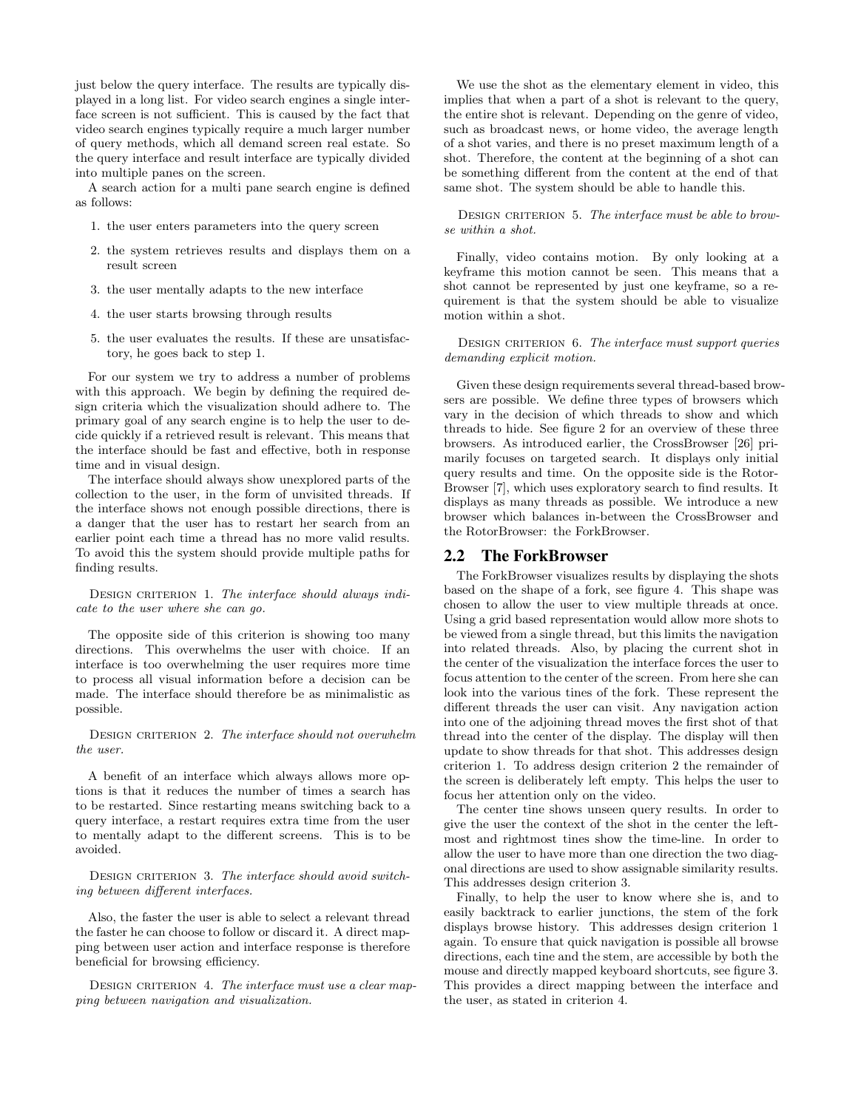just below the query interface. The results are typically displayed in a long list. For video search engines a single interface screen is not sufficient. This is caused by the fact that video search engines typically require a much larger number of query methods, which all demand screen real estate. So the query interface and result interface are typically divided into multiple panes on the screen.

A search action for a multi pane search engine is defined as follows:

- 1. the user enters parameters into the query screen
- 2. the system retrieves results and displays them on a result screen
- 3. the user mentally adapts to the new interface
- 4. the user starts browsing through results
- 5. the user evaluates the results. If these are unsatisfactory, he goes back to step 1.

For our system we try to address a number of problems with this approach. We begin by defining the required design criteria which the visualization should adhere to. The primary goal of any search engine is to help the user to decide quickly if a retrieved result is relevant. This means that the interface should be fast and effective, both in response time and in visual design.

The interface should always show unexplored parts of the collection to the user, in the form of unvisited threads. If the interface shows not enough possible directions, there is a danger that the user has to restart her search from an earlier point each time a thread has no more valid results. To avoid this the system should provide multiple paths for finding results.

DESIGN CRITERION 1. The interface should always indicate to the user where she can go.

The opposite side of this criterion is showing too many directions. This overwhelms the user with choice. If an interface is too overwhelming the user requires more time to process all visual information before a decision can be made. The interface should therefore be as minimalistic as possible.

DESIGN CRITERION 2. The interface should not overwhelm the user.

A benefit of an interface which always allows more options is that it reduces the number of times a search has to be restarted. Since restarting means switching back to a query interface, a restart requires extra time from the user to mentally adapt to the different screens. This is to be avoided.

DESIGN CRITERION 3. The interface should avoid switching between different interfaces.

Also, the faster the user is able to select a relevant thread the faster he can choose to follow or discard it. A direct mapping between user action and interface response is therefore beneficial for browsing efficiency.

DESIGN CRITERION 4. The interface must use a clear mapping between navigation and visualization.

We use the shot as the elementary element in video, this implies that when a part of a shot is relevant to the query, the entire shot is relevant. Depending on the genre of video, such as broadcast news, or home video, the average length of a shot varies, and there is no preset maximum length of a shot. Therefore, the content at the beginning of a shot can be something different from the content at the end of that same shot. The system should be able to handle this.

DESIGN CRITERION 5. The interface must be able to browse within a shot.

Finally, video contains motion. By only looking at a keyframe this motion cannot be seen. This means that a shot cannot be represented by just one keyframe, so a requirement is that the system should be able to visualize motion within a shot.

DESIGN CRITERION 6. The interface must support queries demanding explicit motion.

Given these design requirements several thread-based browsers are possible. We define three types of browsers which vary in the decision of which threads to show and which threads to hide. See figure 2 for an overview of these three browsers. As introduced earlier, the CrossBrowser [26] primarily focuses on targeted search. It displays only initial query results and time. On the opposite side is the Rotor-Browser [7], which uses exploratory search to find results. It displays as many threads as possible. We introduce a new browser which balances in-between the CrossBrowser and the RotorBrowser: the ForkBrowser.

#### **2.2 The ForkBrowser**

The ForkBrowser visualizes results by displaying the shots based on the shape of a fork, see figure 4. This shape was chosen to allow the user to view multiple threads at once. Using a grid based representation would allow more shots to be viewed from a single thread, but this limits the navigation into related threads. Also, by placing the current shot in the center of the visualization the interface forces the user to focus attention to the center of the screen. From here she can look into the various tines of the fork. These represent the different threads the user can visit. Any navigation action into one of the adjoining thread moves the first shot of that thread into the center of the display. The display will then update to show threads for that shot. This addresses design criterion 1. To address design criterion 2 the remainder of the screen is deliberately left empty. This helps the user to focus her attention only on the video.

The center tine shows unseen query results. In order to give the user the context of the shot in the center the leftmost and rightmost tines show the time-line. In order to allow the user to have more than one direction the two diagonal directions are used to show assignable similarity results. This addresses design criterion 3.

Finally, to help the user to know where she is, and to easily backtrack to earlier junctions, the stem of the fork displays browse history. This addresses design criterion 1 again. To ensure that quick navigation is possible all browse directions, each tine and the stem, are accessible by both the mouse and directly mapped keyboard shortcuts, see figure 3. This provides a direct mapping between the interface and the user, as stated in criterion 4.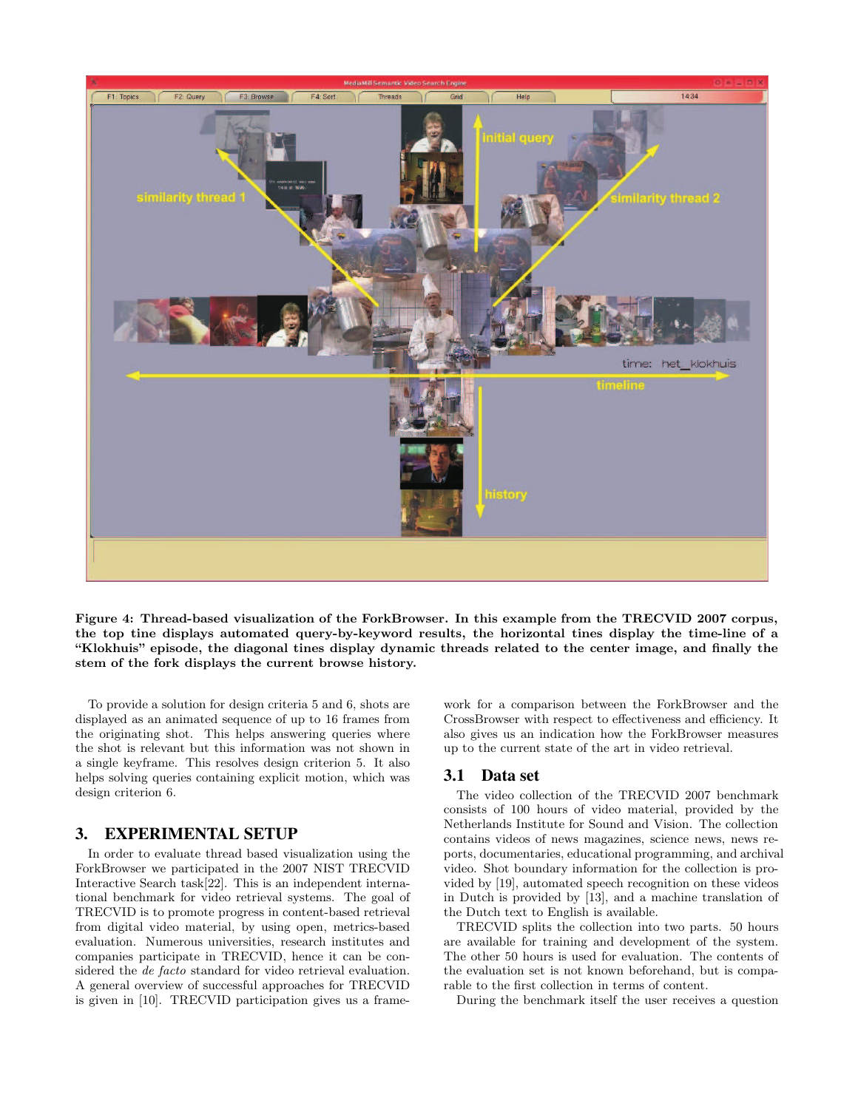

Figure 4: Thread-based visualization of the ForkBrowser. In this example from the TRECVID 2007 corpus, the top tine displays automated query-by-keyword results, the horizontal tines display the time-line of a "Klokhuis" episode, the diagonal tines display dynamic threads related to the center image, and finally the stem of the fork displays the current browse history.

To provide a solution for design criteria 5 and 6, shots are displayed as an animated sequence of up to 16 frames from the originating shot. This helps answering queries where the shot is relevant but this information was not shown in a single keyframe. This resolves design criterion 5. It also helps solving queries containing explicit motion, which was design criterion 6.

## **3. EXPERIMENTAL SETUP**

In order to evaluate thread based visualization using the ForkBrowser we participated in the 2007 NIST TRECVID Interactive Search task[22]. This is an independent international benchmark for video retrieval systems. The goal of TRECVID is to promote progress in content-based retrieval from digital video material, by using open, metrics-based evaluation. Numerous universities, research institutes and companies participate in TRECVID, hence it can be considered the *de facto* standard for video retrieval evaluation. A general overview of successful approaches for TRECVID is given in [10]. TRECVID participation gives us a framework for a comparison between the ForkBrowser and the CrossBrowser with respect to effectiveness and efficiency. It also gives us an indication how the ForkBrowser measures up to the current state of the art in video retrieval.

#### **3.1 Data set**

The video collection of the TRECVID 2007 benchmark consists of 100 hours of video material, provided by the Netherlands Institute for Sound and Vision. The collection contains videos of news magazines, science news, news reports, documentaries, educational programming, and archival video. Shot boundary information for the collection is provided by [19], automated speech recognition on these videos in Dutch is provided by [13], and a machine translation of the Dutch text to English is available.

TRECVID splits the collection into two parts. 50 hours are available for training and development of the system. The other 50 hours is used for evaluation. The contents of the evaluation set is not known beforehand, but is comparable to the first collection in terms of content.

During the benchmark itself the user receives a question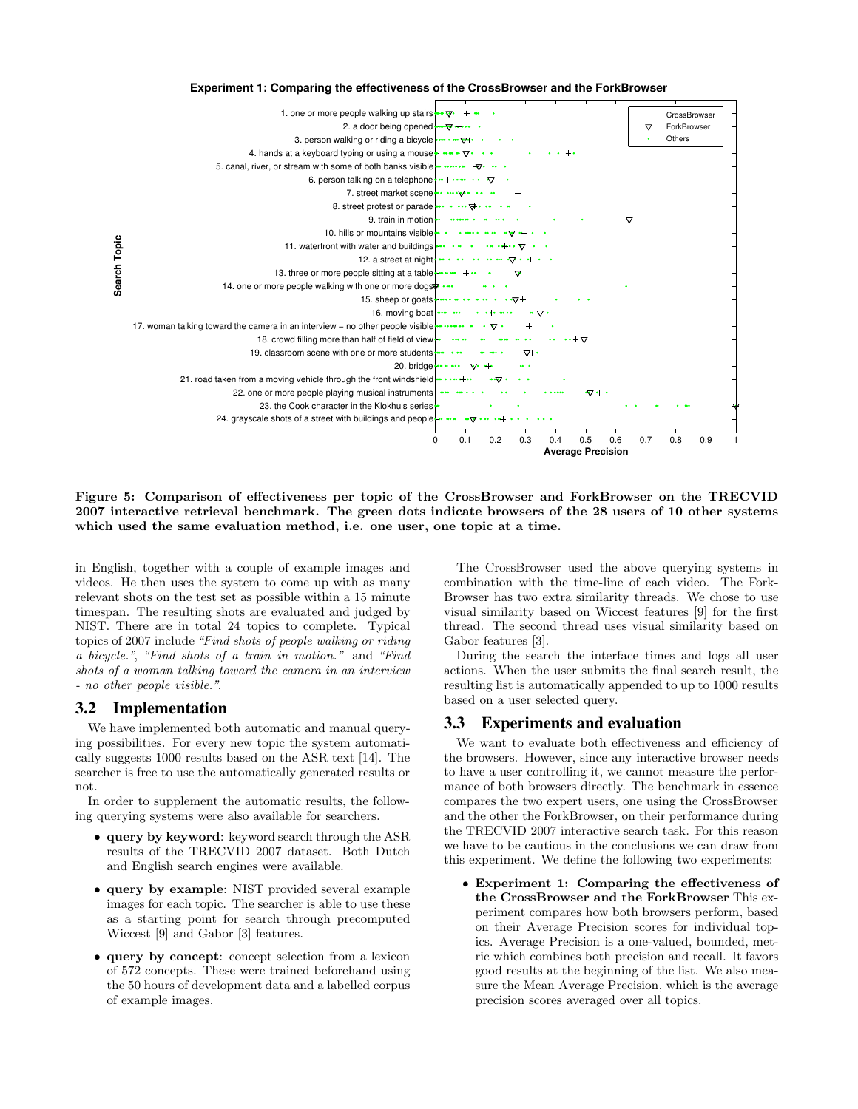

**Experiment 1: Comparing the effectiveness of the CrossBrowser and the ForkBrowser**

Figure 5: Comparison of effectiveness per topic of the CrossBrowser and ForkBrowser on the TRECVID 2007 interactive retrieval benchmark. The green dots indicate browsers of the 28 users of 10 other systems which used the same evaluation method, i.e. one user, one topic at a time.

in English, together with a couple of example images and videos. He then uses the system to come up with as many relevant shots on the test set as possible within a 15 minute timespan. The resulting shots are evaluated and judged by NIST. There are in total 24 topics to complete. Typical topics of 2007 include "Find shots of people walking or riding a bicycle.", "Find shots of a train in motion." and "Find shots of a woman talking toward the camera in an interview - no other people visible.".

# **3.2 Implementation**

We have implemented both automatic and manual querying possibilities. For every new topic the system automatically suggests 1000 results based on the ASR text [14]. The searcher is free to use the automatically generated results or not.

In order to supplement the automatic results, the following querying systems were also available for searchers.

- query by keyword: keyword search through the ASR results of the TRECVID 2007 dataset. Both Dutch and English search engines were available.
- query by example: NIST provided several example images for each topic. The searcher is able to use these as a starting point for search through precomputed Wiccest [9] and Gabor [3] features.
- query by concept: concept selection from a lexicon of 572 concepts. These were trained beforehand using the 50 hours of development data and a labelled corpus of example images.

The CrossBrowser used the above querying systems in combination with the time-line of each video. The Fork-Browser has two extra similarity threads. We chose to use visual similarity based on Wiccest features [9] for the first thread. The second thread uses visual similarity based on Gabor features [3].

During the search the interface times and logs all user actions. When the user submits the final search result, the resulting list is automatically appended to up to 1000 results based on a user selected query.

# **3.3 Experiments and evaluation**

We want to evaluate both effectiveness and efficiency of the browsers. However, since any interactive browser needs to have a user controlling it, we cannot measure the performance of both browsers directly. The benchmark in essence compares the two expert users, one using the CrossBrowser and the other the ForkBrowser, on their performance during the TRECVID 2007 interactive search task. For this reason we have to be cautious in the conclusions we can draw from this experiment. We define the following two experiments:

• Experiment 1: Comparing the effectiveness of the CrossBrowser and the ForkBrowser This experiment compares how both browsers perform, based on their Average Precision scores for individual topics. Average Precision is a one-valued, bounded, metric which combines both precision and recall. It favors good results at the beginning of the list. We also measure the Mean Average Precision, which is the average precision scores averaged over all topics.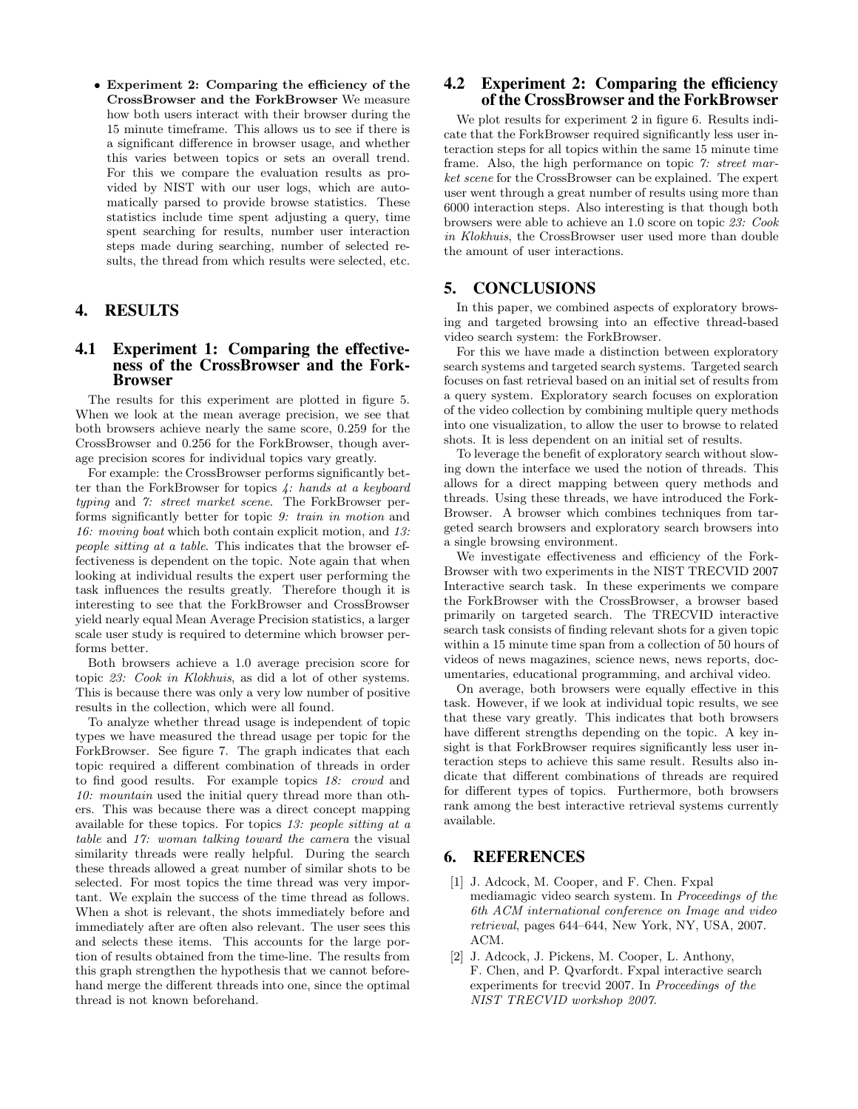• Experiment 2: Comparing the efficiency of the CrossBrowser and the ForkBrowser We measure how both users interact with their browser during the 15 minute timeframe. This allows us to see if there is a significant difference in browser usage, and whether this varies between topics or sets an overall trend. For this we compare the evaluation results as provided by NIST with our user logs, which are automatically parsed to provide browse statistics. These statistics include time spent adjusting a query, time spent searching for results, number user interaction steps made during searching, number of selected results, the thread from which results were selected, etc.

# **4. RESULTS**

#### **4.1 Experiment 1: Comparing the effectiveness of the CrossBrowser and the Fork-Browser**

The results for this experiment are plotted in figure 5. When we look at the mean average precision, we see that both browsers achieve nearly the same score, 0.259 for the CrossBrowser and 0.256 for the ForkBrowser, though average precision scores for individual topics vary greatly.

For example: the CrossBrowser performs significantly better than the ForkBrowser for topics 4: hands at a keyboard typing and 7: street market scene. The ForkBrowser performs significantly better for topic 9: train in motion and 16: moving boat which both contain explicit motion, and 13: people sitting at a table. This indicates that the browser effectiveness is dependent on the topic. Note again that when looking at individual results the expert user performing the task influences the results greatly. Therefore though it is interesting to see that the ForkBrowser and CrossBrowser yield nearly equal Mean Average Precision statistics, a larger scale user study is required to determine which browser performs better.

Both browsers achieve a 1.0 average precision score for topic 23: Cook in Klokhuis, as did a lot of other systems. This is because there was only a very low number of positive results in the collection, which were all found.

To analyze whether thread usage is independent of topic types we have measured the thread usage per topic for the ForkBrowser. See figure 7. The graph indicates that each topic required a different combination of threads in order to find good results. For example topics 18: crowd and 10: mountain used the initial query thread more than others. This was because there was a direct concept mapping available for these topics. For topics 13: people sitting at a table and 17: woman talking toward the camera the visual similarity threads were really helpful. During the search these threads allowed a great number of similar shots to be selected. For most topics the time thread was very important. We explain the success of the time thread as follows. When a shot is relevant, the shots immediately before and immediately after are often also relevant. The user sees this and selects these items. This accounts for the large portion of results obtained from the time-line. The results from this graph strengthen the hypothesis that we cannot beforehand merge the different threads into one, since the optimal thread is not known beforehand.

# **4.2 Experiment 2: Comparing the efficiency of the CrossBrowser and the ForkBrowser**

We plot results for experiment 2 in figure 6. Results indicate that the ForkBrowser required significantly less user interaction steps for all topics within the same 15 minute time frame. Also, the high performance on topic 7: street market scene for the CrossBrowser can be explained. The expert user went through a great number of results using more than 6000 interaction steps. Also interesting is that though both browsers were able to achieve an 1.0 score on topic 23: Cook in Klokhuis, the CrossBrowser user used more than double the amount of user interactions.

# **5. CONCLUSIONS**

In this paper, we combined aspects of exploratory browsing and targeted browsing into an effective thread-based video search system: the ForkBrowser.

For this we have made a distinction between exploratory search systems and targeted search systems. Targeted search focuses on fast retrieval based on an initial set of results from a query system. Exploratory search focuses on exploration of the video collection by combining multiple query methods into one visualization, to allow the user to browse to related shots. It is less dependent on an initial set of results.

To leverage the benefit of exploratory search without slowing down the interface we used the notion of threads. This allows for a direct mapping between query methods and threads. Using these threads, we have introduced the Fork-Browser. A browser which combines techniques from targeted search browsers and exploratory search browsers into a single browsing environment.

We investigate effectiveness and efficiency of the Fork-Browser with two experiments in the NIST TRECVID 2007 Interactive search task. In these experiments we compare the ForkBrowser with the CrossBrowser, a browser based primarily on targeted search. The TRECVID interactive search task consists of finding relevant shots for a given topic within a 15 minute time span from a collection of 50 hours of videos of news magazines, science news, news reports, documentaries, educational programming, and archival video.

On average, both browsers were equally effective in this task. However, if we look at individual topic results, we see that these vary greatly. This indicates that both browsers have different strengths depending on the topic. A key insight is that ForkBrowser requires significantly less user interaction steps to achieve this same result. Results also indicate that different combinations of threads are required for different types of topics. Furthermore, both browsers rank among the best interactive retrieval systems currently available.

# **6. REFERENCES**

- [1] J. Adcock, M. Cooper, and F. Chen. Fxpal mediamagic video search system. In Proceedings of the 6th ACM international conference on Image and video retrieval, pages 644–644, New York, NY, USA, 2007. ACM.
- [2] J. Adcock, J. Pickens, M. Cooper, L. Anthony, F. Chen, and P. Qvarfordt. Fxpal interactive search experiments for trecvid 2007. In Proceedings of the NIST TRECVID workshop 2007.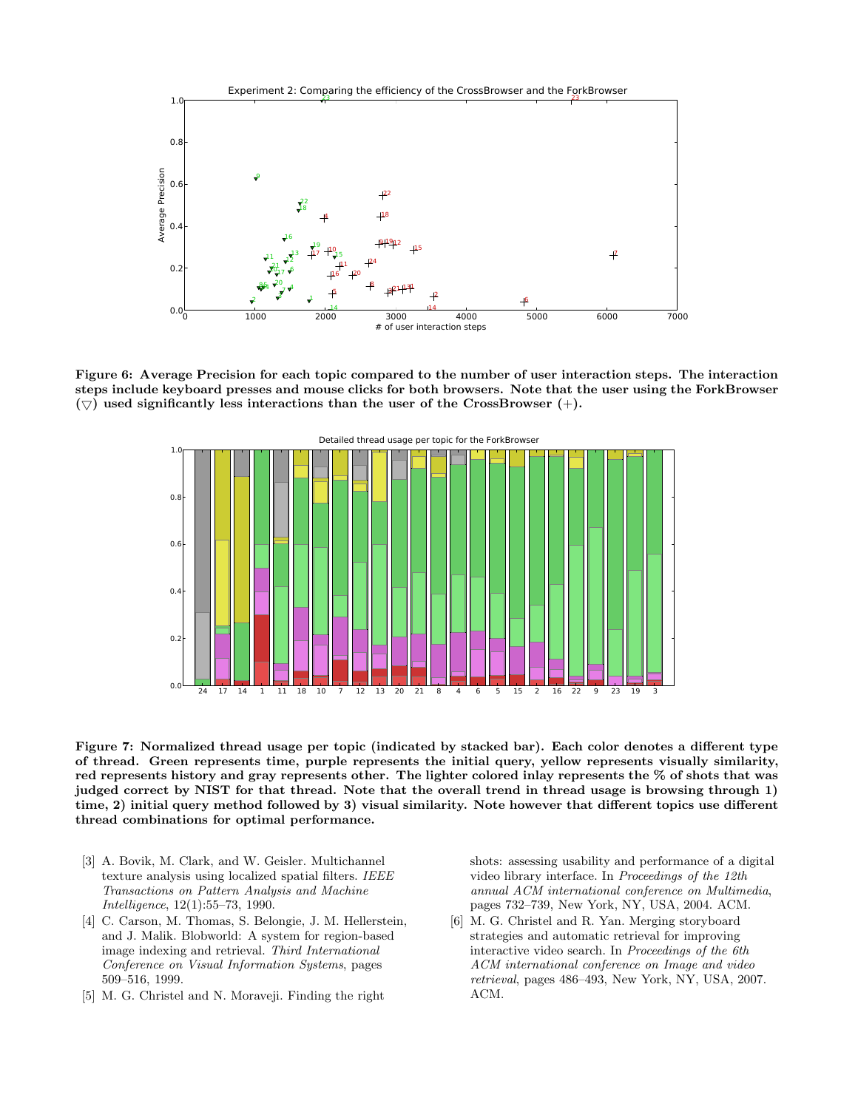

Figure 6: Average Precision for each topic compared to the number of user interaction steps. The interaction steps include keyboard presses and mouse clicks for both browsers. Note that the user using the ForkBrowser  $(\nabla)$  used significantly less interactions than the user of the CrossBrowser (+).



Figure 7: Normalized thread usage per topic (indicated by stacked bar). Each color denotes a different type of thread. Green represents time, purple represents the initial query, yellow represents visually similarity, red represents history and gray represents other. The lighter colored inlay represents the % of shots that was judged correct by NIST for that thread. Note that the overall trend in thread usage is browsing through 1) time, 2) initial query method followed by 3) visual similarity. Note however that different topics use different thread combinations for optimal performance.

- [3] A. Bovik, M. Clark, and W. Geisler. Multichannel texture analysis using localized spatial filters. IEEE Transactions on Pattern Analysis and Machine Intelligence, 12(1):55–73, 1990.
- [4] C. Carson, M. Thomas, S. Belongie, J. M. Hellerstein, and J. Malik. Blobworld: A system for region-based image indexing and retrieval. Third International Conference on Visual Information Systems, pages 509–516, 1999.
- [5] M. G. Christel and N. Moraveji. Finding the right

shots: assessing usability and performance of a digital video library interface. In Proceedings of the 12th annual ACM international conference on Multimedia, pages 732–739, New York, NY, USA, 2004. ACM.

[6] M. G. Christel and R. Yan. Merging storyboard strategies and automatic retrieval for improving interactive video search. In Proceedings of the 6th ACM international conference on Image and video retrieval, pages 486–493, New York, NY, USA, 2007. ACM.